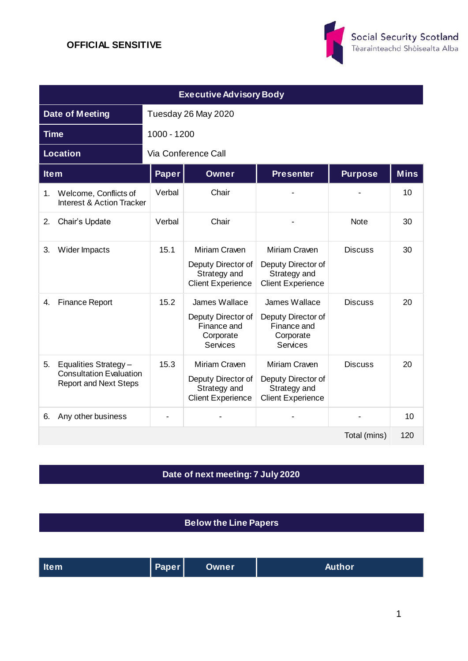

| <b>Executive Advisory Body</b>                                                               |                     |                                                                                    |                                                                                    |                |             |  |  |
|----------------------------------------------------------------------------------------------|---------------------|------------------------------------------------------------------------------------|------------------------------------------------------------------------------------|----------------|-------------|--|--|
| <b>Date of Meeting</b>                                                                       | Tuesday 26 May 2020 |                                                                                    |                                                                                    |                |             |  |  |
| <b>Time</b>                                                                                  | 1000 - 1200         |                                                                                    |                                                                                    |                |             |  |  |
| <b>Location</b>                                                                              | Via Conference Call |                                                                                    |                                                                                    |                |             |  |  |
| <b>Item</b>                                                                                  | Paper               | Owner                                                                              | <b>Presenter</b>                                                                   | <b>Purpose</b> | <b>Mins</b> |  |  |
| Welcome, Conflicts of<br>1.<br><b>Interest &amp; Action Tracker</b>                          | Verbal              | Chair                                                                              |                                                                                    |                | 10          |  |  |
| Chair's Update<br>2.                                                                         | Verbal              | Chair                                                                              |                                                                                    | <b>Note</b>    | 30          |  |  |
| Wider Impacts<br>3.                                                                          | 15.1                | Miriam Craven<br>Deputy Director of<br>Strategy and<br><b>Client Experience</b>    | Miriam Craven<br>Deputy Director of<br>Strategy and<br><b>Client Experience</b>    | <b>Discuss</b> | 30          |  |  |
| <b>Finance Report</b><br>4.                                                                  | 15.2                | James Wallace<br>Deputy Director of<br>Finance and<br>Corporate<br><b>Services</b> | James Wallace<br>Deputy Director of<br>Finance and<br>Corporate<br><b>Services</b> | <b>Discuss</b> | 20          |  |  |
| Equalities Strategy-<br>5.<br><b>Consultation Evaluation</b><br><b>Report and Next Steps</b> | 15.3                | Miriam Craven<br>Deputy Director of<br>Strategy and<br><b>Client Experience</b>    | Miriam Craven<br>Deputy Director of<br>Strategy and<br><b>Client Experience</b>    | <b>Discuss</b> | 20          |  |  |
| Any other business<br>6.                                                                     |                     |                                                                                    |                                                                                    |                | 10          |  |  |
|                                                                                              |                     |                                                                                    |                                                                                    | Total (mins)   | 120         |  |  |

## **Date of next meeting: 7 July 2020**

**Below the Line Papers**

| Paper  <br><b>Item</b> | <b>Owner</b> | <b>Author</b> |
|------------------------|--------------|---------------|
|------------------------|--------------|---------------|